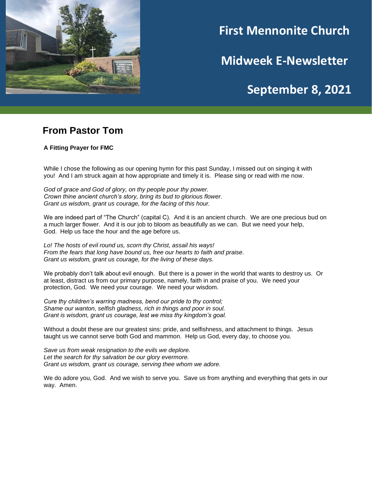

# **First Mennonite Church**

**Midweek E-Newsletter**

## **September 8, 2021**

**202120212021**

#### **From Pastor Tom**

**A Fitting Prayer for FMC**

While I chose the following as our opening hymn for this past Sunday, I missed out on singing it with you! And I am struck again at how appropriate and timely it is. Please sing or read with me now.

*God of grace and God of glory, on thy people pour thy power. Crown thine ancient church's story, bring its bud to glorious flower. Grant us wisdom, grant us courage, for the facing of this hour.*

We are indeed part of "The Church" (capital C). And it is an ancient church. We are one precious bud on a much larger flower. And it is our job to bloom as beautifully as we can. But we need your help, God. Help us face the hour and the age before us.

*Lo! The hosts of evil round us, scorn thy Christ, assail his ways! From the fears that long have bound us, free our hearts to faith and praise. Grant us wisdom, grant us courage, for the living of these days.*

We probably don't talk about evil enough. But there is a power in the world that wants to destroy us. Or at least, distract us from our primary purpose, namely, faith in and praise of you. We need your protection, God. We need your courage. We need your wisdom.

*Cure thy children's warring madness, bend our pride to thy control; Shame our wanton, selfish gladness, rich in things and poor in soul. Grant is wisdom, grant us courage, lest we miss thy kingdom's goal.*

Without a doubt these are our greatest sins: pride, and selfishness, and attachment to things. Jesus taught us we cannot serve both God and mammon. Help us God, every day, to choose you.

*Save us from weak resignation to the evils we deplore. Let the search for thy salvation be our glory evermore. Grant us wisdom, grant us courage, serving thee whom we adore.*

We do adore you, God. And we wish to serve you. Save us from anything and everything that gets in our way. Amen.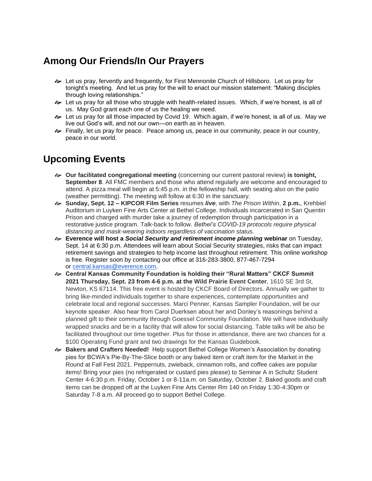## **Among Our Friends/In Our Prayers**

- Let us pray, fervently and frequently, for First Mennonite Church of Hillsboro. Let us pray for tonight's meeting. And let us pray for the will to enact our mission statement: "Making disciples through loving relationships."
- Let us pray for all those who struggle with health-related issues. Which, if we're honest, is all of us. May God grant each one of us the healing we need.
- Let us pray for all those impacted by Covid 19. Which again, if we're honest, is all of us. May we live out God's will, and not our own—on earth as in heaven.
- **Bogger Finally, let us pray for peace.** Peace among us, peace in our community, peace in our country, peace in our world.

## **Upcoming Events**

- **Our facilitated congregational meeting** (concerning our current pastoral review) **is tonight, September 8**. All FMC members and those who attend regularly are welcome and encouraged to attend. A pizza meal will begin at 5:45 p.m. in the fellowship hall, with seating also on the patio (weather permitting). The meeting will follow at 6:30 in the sanctuary.
- **Sunday, Sept. 12 – KIPCOR Film Series** resumes *live*, with *The Prison Within*, **2 p.m.**, Krehbiel Auditorium in Luyken Fine Arts Center at Bethel College. Individuals incarcerated in San Quentin Prison and charged with murder take a journey of redemption through participation in a restorative justice program. Talk-back to follow. *Bethel's COVID-19 protocols require physical distancing and mask-wearing indoors regardless of vaccination status.*
- **Everence will host a** *Social Security and retirement income planning* **webinar** on Tuesday, Sept. 14 at 6:30 p.m. Attendees will learn about Social Security strategies, risks that can impact retirement savings and strategies to help income last throughout retirement. This online workshop is free. Register soon by contacting our office at 316-283-3800, 877-467-7294 or [central.kansas@everence.com.](mailto:central.kansas@everence.com)
- **Central Kansas Community Foundation is holding their "Rural Matters" CKCF Summit 2021 Thursday, Sept. 23 from 4-6 p.m. at the Wild Prairie Event Center**, 1610 SE 3rd St, Newton, KS 67114. This free event is hosted by CKCF Board of Directors. Annually we gather to bring like-minded individuals together to share experiences, contemplate opportunities and celebrate local and regional successes. Marci Penner, Kansas Sampler Foundation, will be our keynote speaker. Also hear from Carol Duerksen about her and Donley's reasonings behind a planned gift to their community through Goessel Community Foundation. We will have individually wrapped snacks and be in a facility that will allow for social distancing. Table talks will be also be facilitated throughout our time together. Plus for those in attendance, there are two chances for a \$100 Operating Fund grant and two drawings for the Kansas Guidebook.
- **Bakers and Crafters Needed!** Help support Bethel College Women's Association by donating pies for BCWA's Pie-By-The-Slice booth or any baked item or craft item for the Market in the Round at Fall Fest 2021. Peppernuts, zwieback, cinnamon rolls, and coffee cakes are popular items! Bring your pies (no refrigerated or custard pies please) to Seminar A in Schultz Student Center 4-6:30 p.m. Friday, October 1 or 8-11a.m. on Saturday, October 2. Baked goods and craft items can be dropped off at the Luyken Fine Arts Center Rm 140 on Friday 1:30-4:30pm or Saturday 7-8 a.m. All proceed go to support Bethel College.